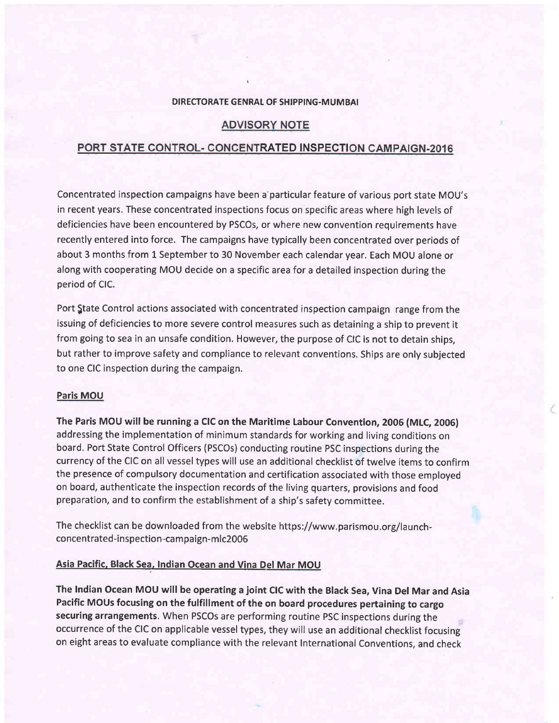#### DIRECTORATE GENRAL OF SHIPPING-MUMBAI

# **ADVISORY NOTE**

# PORT STATE CONTROL- CONCENTRATED INSPECTION CAMPAIGN-2016

Concentrated inspection campaigns have been a particular feature of various port state MOU's in recent years. These concentrated inspections focus on specific areas where high levels of deficiencies have been encountered by PSCOs, or where new convention requirements have recently entered into force. The campaigns have typically been concentrated over periods of about 3 months from l Septemberto 30 November each calendar year. Each MOU alone or along with cooperating MOU decide on a specific area for a detailed inspection during the period of ClC.

Port State Control actions associated with concentrated inspection campaign range from the issuing of deficiencies to more severe control measures such as detaining a ship to prevent it from going to sea in an unsafe condition. However, the purpose of CIC is not to detain ships, but rather to improve safety and compliance to relevant conventions. Ships are only subjected to one CIC inspection during the campaign.

#### Paris MOU

The Paris MOU will be running a CIC on the Maritime Labour Convention, 2006 (MLC, 2006) addressing the implementation of minimum standards for working and living conditions on board. Port State Control Officers (PSCOs) conducting routine PSC inspections during the currency of the CIC on all vessel types will use an additional checklist of twelve items to confirm the presence of compulsory documentation and certification associated with those employed on board, authenticate the inspection records of the living quarters, provisions and food preparation, and to confirm the establishment of a ship's safety committee.

The checklist can be downloaded from the website https://www.parismou,org/launchconcentrated-inspection-campaign-mlc2006

## Asia Pacific, Black Sea, Indian Ocean and Vina Del Mar MOU

The lndian Ocean MOU will be operating a joint CIC with the Black Sea, Vina Del Mar and Asia Pacific MOUs focusing on the fulfillment of the on board procedures pertaining to cargo securing arrangements. When PSCOs are performing routine PSC inspections during the occurrence of the CIC on applicable vessel types, they will use an additional checklist focusing on eight areas to evaluate compliance with the relevant International Conventions, and check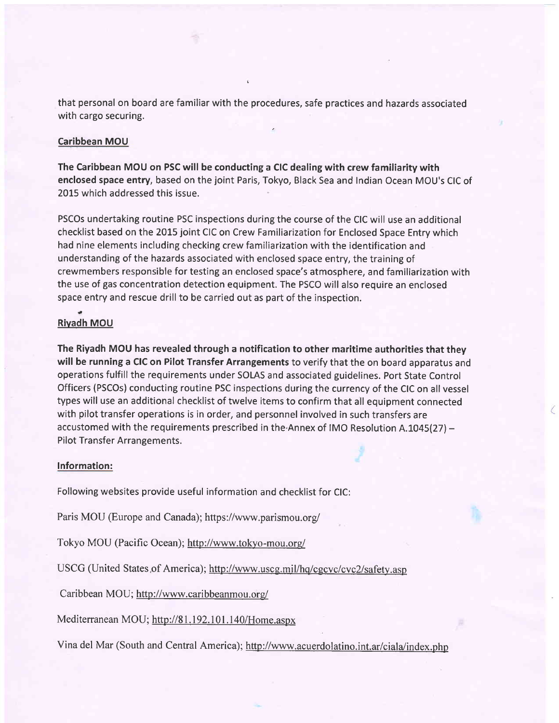that personal on board are familiar with the procedures, safe practices and hazards associated with cargo securing.

## Caribbean MOU

The Caribbean MOU on PSC will be conducting a CIC dealing with crew familiarity with enclosed space entry, based on the joint Paris, Tokyo, Black Sea and Indian Ocean MOU's CIC of 2015 which addressed this issue.

PSCOs undertaking routine PSC inspections during the course of the CIC will use an additional checklist based on the 2015 joint CIC on Crew Familiarization for Enclosed Space Entry which had nine elements including checking crew familiarization with the identification and understanding of the hazards associated with enclosed space entry, the training of crewmembers responsible for testing an enclosed space's atmosphere, and familiarization with the use of gas concentration detection equipment. The PSCO will also require an enclosed space entry and rescue drill to be carried out as part of the inspection.

#### a Rivadh MOU

The Riyadh MOU has revealed through a notification to other maritime authorities that they will be running a CIC on Pilot Transfer Arrangements to verify that the on board apparatus and operations fulfill the requirements under SOLAS and associated guidelines. Port State Control Officers (PSCOs) conducting routine PSC inspections during the currency of the CIC on all vessel types will use an additional checklist of twelve items to confirm that all equipment connected with pilot transfer operations is in order, and personnel involved in such transfers are accustomed with the requirements prescribed in the.Annex of IMO Resolution A.IO45(27) - Pilot Transfer Arrangements.

## lnformation:

Following websites provide useful information and checklist for CIC:

Paris MOU (Europe and Canada); https://www.parismou.org/

Tokyo MOU (Pacific Ocean); http://www.tokyo-mou.org/

USCG (United States of America); http://www.uscg.mil/hq/cgcvc/cvc2/safety.asp

Caribbean MOU; http://www.caribbeanmou.org/

Mediterranean MOU; http://81.192.101.140/Home.aspx

Vina del Mar (South and Central America); http://www.acuerdolatino.int.ar/ciala/index.php